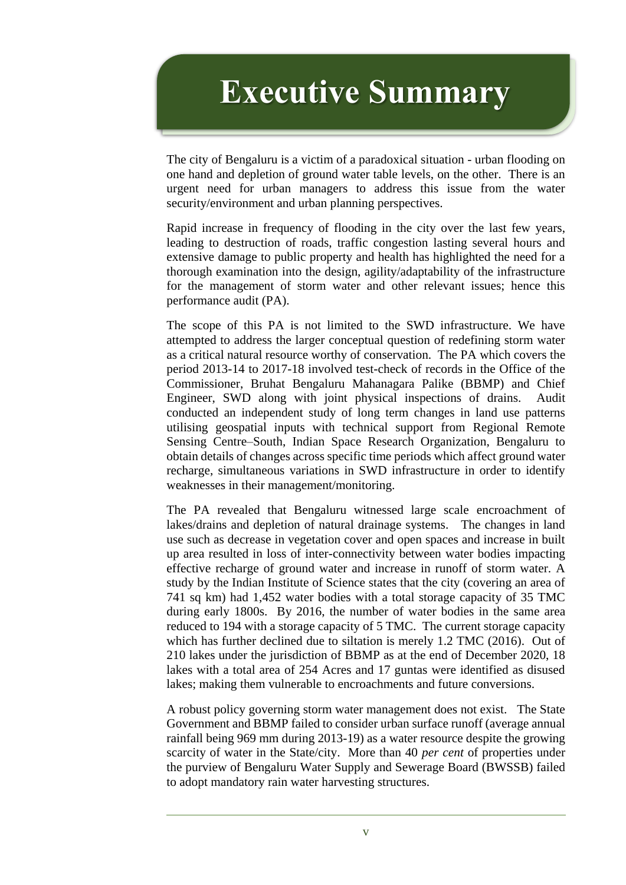## **Executive Summary**

The city of Bengaluru is a victim of a paradoxical situation - urban flooding on one hand and depletion of ground water table levels, on the other. There is an urgent need for urban managers to address this issue from the water security/environment and urban planning perspectives.

Rapid increase in frequency of flooding in the city over the last few years, leading to destruction of roads, traffic congestion lasting several hours and extensive damage to public property and health has highlighted the need for a thorough examination into the design, agility/adaptability of the infrastructure for the management of storm water and other relevant issues; hence this performance audit (PA).

The scope of this PA is not limited to the SWD infrastructure. We have attempted to address the larger conceptual question of redefining storm water as a critical natural resource worthy of conservation. The PA which covers the period 2013-14 to 2017-18 involved test-check of records in the Office of the Commissioner, Bruhat Bengaluru Mahanagara Palike (BBMP) and Chief Engineer, SWD along with joint physical inspections of drains. Audit conducted an independent study of long term changes in land use patterns utilising geospatial inputs with technical support from Regional Remote Sensing Centre–South, Indian Space Research Organization, Bengaluru to obtain details of changes across specific time periods which affect ground water recharge, simultaneous variations in SWD infrastructure in order to identify weaknesses in their management/monitoring.

The PA revealed that Bengaluru witnessed large scale encroachment of lakes/drains and depletion of natural drainage systems. The changes in land use such as decrease in vegetation cover and open spaces and increase in built up area resulted in loss of inter-connectivity between water bodies impacting effective recharge of ground water and increase in runoff of storm water. A study by the Indian Institute of Science states that the city (covering an area of 741 sq km) had 1,452 water bodies with a total storage capacity of 35 TMC during early 1800s. By 2016, the number of water bodies in the same area reduced to 194 with a storage capacity of 5 TMC. The current storage capacity which has further declined due to siltation is merely 1.2 TMC (2016). Out of 210 lakes under the jurisdiction of BBMP as at the end of December 2020, 18 lakes with a total area of 254 Acres and 17 guntas were identified as disused lakes; making them vulnerable to encroachments and future conversions.

A robust policy governing storm water management does not exist. The State Government and BBMP failed to consider urban surface runoff (average annual rainfall being 969 mm during 2013-19) as a water resource despite the growing scarcity of water in the State/city. More than 40 *per cent* of properties under the purview of Bengaluru Water Supply and Sewerage Board (BWSSB) failed to adopt mandatory rain water harvesting structures.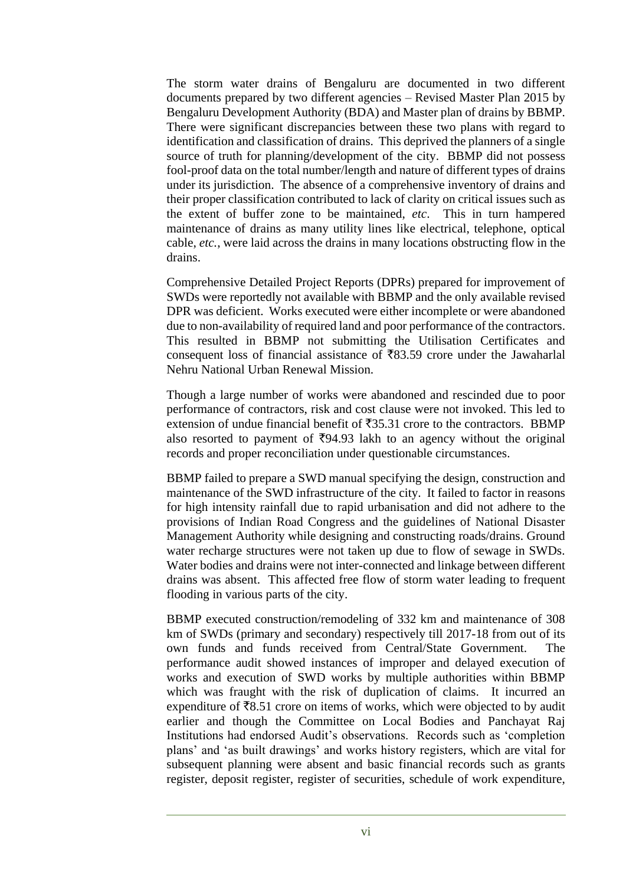The storm water drains of Bengaluru are documented in two different documents prepared by two different agencies – Revised Master Plan 2015 by Bengaluru Development Authority (BDA) and Master plan of drains by BBMP. There were significant discrepancies between these two plans with regard to identification and classification of drains. This deprived the planners of a single source of truth for planning/development of the city. BBMP did not possess fool-proof data on the total number/length and nature of different types of drains under its jurisdiction. The absence of a comprehensive inventory of drains and their proper classification contributed to lack of clarity on critical issues such as the extent of buffer zone to be maintained, *etc*. This in turn hampered maintenance of drains as many utility lines like electrical, telephone, optical cable, *etc.*, were laid across the drains in many locations obstructing flow in the drains.

Comprehensive Detailed Project Reports (DPRs) prepared for improvement of SWDs were reportedly not available with BBMP and the only available revised DPR was deficient. Works executed were either incomplete or were abandoned due to non-availability of required land and poor performance of the contractors. This resulted in BBMP not submitting the Utilisation Certificates and consequent loss of financial assistance of  $\overline{8}83.59$  crore under the Jawaharlal Nehru National Urban Renewal Mission.

Though a large number of works were abandoned and rescinded due to poor performance of contractors, risk and cost clause were not invoked. This led to extension of undue financial benefit of  $\overline{5}35.31$  crore to the contractors. BBMP also resorted to payment of  $\overline{594.93}$  lakh to an agency without the original records and proper reconciliation under questionable circumstances.

BBMP failed to prepare a SWD manual specifying the design, construction and maintenance of the SWD infrastructure of the city. It failed to factor in reasons for high intensity rainfall due to rapid urbanisation and did not adhere to the provisions of Indian Road Congress and the guidelines of National Disaster Management Authority while designing and constructing roads/drains. Ground water recharge structures were not taken up due to flow of sewage in SWDs. Water bodies and drains were not inter-connected and linkage between different drains was absent. This affected free flow of storm water leading to frequent flooding in various parts of the city.

BBMP executed construction/remodeling of 332 km and maintenance of 308 km of SWDs (primary and secondary) respectively till 2017-18 from out of its own funds and funds received from Central/State Government. The performance audit showed instances of improper and delayed execution of works and execution of SWD works by multiple authorities within BBMP which was fraught with the risk of duplication of claims. It incurred an expenditure of  $\bar{z}8.51$  crore on items of works, which were objected to by audit earlier and though the Committee on Local Bodies and Panchayat Raj Institutions had endorsed Audit's observations. Records such as 'completion plans' and 'as built drawings' and works history registers, which are vital for subsequent planning were absent and basic financial records such as grants register, deposit register, register of securities, schedule of work expenditure,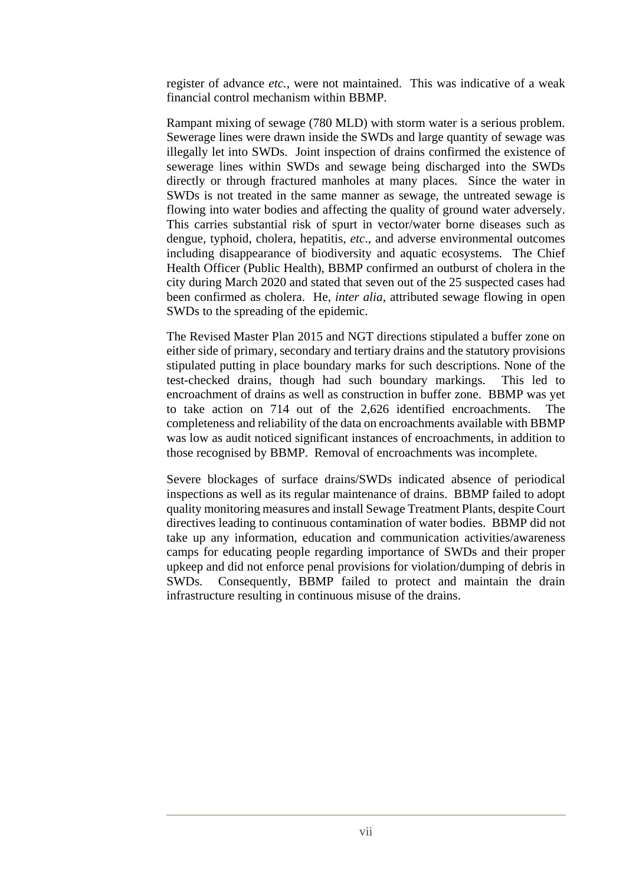register of advance *etc.,* were not maintained. This was indicative of a weak financial control mechanism within BBMP.

Rampant mixing of sewage (780 MLD) with storm water is a serious problem. Sewerage lines were drawn inside the SWDs and large quantity of sewage was illegally let into SWDs. Joint inspection of drains confirmed the existence of sewerage lines within SWDs and sewage being discharged into the SWDs directly or through fractured manholes at many places. Since the water in SWDs is not treated in the same manner as sewage, the untreated sewage is flowing into water bodies and affecting the quality of ground water adversely. This carries substantial risk of spurt in vector/water borne diseases such as dengue, typhoid, cholera, hepatitis, *etc*., and adverse environmental outcomes including disappearance of biodiversity and aquatic ecosystems. The Chief Health Officer (Public Health), BBMP confirmed an outburst of cholera in the city during March 2020 and stated that seven out of the 25 suspected cases had been confirmed as cholera. He, *inter alia*, attributed sewage flowing in open SWDs to the spreading of the epidemic.

The Revised Master Plan 2015 and NGT directions stipulated a buffer zone on either side of primary, secondary and tertiary drains and the statutory provisions stipulated putting in place boundary marks for such descriptions. None of the test-checked drains, though had such boundary markings. This led to encroachment of drains as well as construction in buffer zone. BBMP was yet to take action on 714 out of the 2,626 identified encroachments. The completeness and reliability of the data on encroachments available with BBMP was low as audit noticed significant instances of encroachments, in addition to those recognised by BBMP. Removal of encroachments was incomplete.

Severe blockages of surface drains/SWDs indicated absence of periodical inspections as well as its regular maintenance of drains. BBMP failed to adopt quality monitoring measures and install Sewage Treatment Plants, despite Court directives leading to continuous contamination of water bodies. BBMP did not take up any information, education and communication activities/awareness camps for educating people regarding importance of SWDs and their proper upkeep and did not enforce penal provisions for violation/dumping of debris in SWDs. Consequently, BBMP failed to protect and maintain the drain infrastructure resulting in continuous misuse of the drains.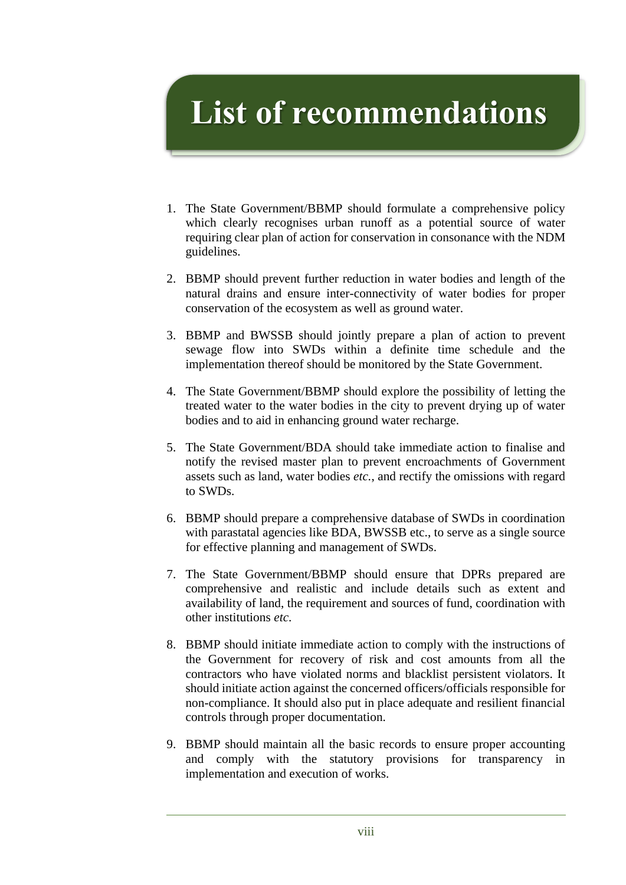## **List of recommendations**

- 1. The State Government/BBMP should formulate a comprehensive policy which clearly recognises urban runoff as a potential source of water requiring clear plan of action for conservation in consonance with the NDM guidelines.
- 2. BBMP should prevent further reduction in water bodies and length of the natural drains and ensure inter-connectivity of water bodies for proper conservation of the ecosystem as well as ground water.
- 3. BBMP and BWSSB should jointly prepare a plan of action to prevent sewage flow into SWDs within a definite time schedule and the implementation thereof should be monitored by the State Government.
- 4. The State Government/BBMP should explore the possibility of letting the treated water to the water bodies in the city to prevent drying up of water bodies and to aid in enhancing ground water recharge.
- 5. The State Government/BDA should take immediate action to finalise and notify the revised master plan to prevent encroachments of Government assets such as land, water bodies *etc.*, and rectify the omissions with regard to SWDs.
- 6. BBMP should prepare a comprehensive database of SWDs in coordination with parastatal agencies like BDA, BWSSB etc., to serve as a single source for effective planning and management of SWDs.
- 7. The State Government/BBMP should ensure that DPRs prepared are comprehensive and realistic and include details such as extent and availability of land, the requirement and sources of fund, coordination with other institutions *etc*.
- 8. BBMP should initiate immediate action to comply with the instructions of the Government for recovery of risk and cost amounts from all the contractors who have violated norms and blacklist persistent violators. It should initiate action against the concerned officers/officials responsible for non-compliance. It should also put in place adequate and resilient financial controls through proper documentation.
- 9. BBMP should maintain all the basic records to ensure proper accounting and comply with the statutory provisions for transparency in implementation and execution of works.